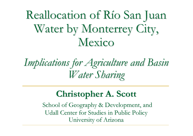Reallocation of Río San Juan Water by Monterrey City, Mexico

# *Implications for Agriculture and Basin Water Sharing*

#### **Christopher A. Scott**

School of Geography & Development, and Udall Center for Studies in Public Policy University of Arizona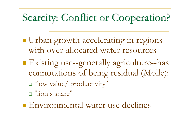# Scarcity: Conflict or Cooperation?

- **Urban growth accelerating in regions** with over-allocated water resources
- Existing use--generally agriculture--has connotations of being residual (Molle):
	- "low value/ productivity"
	- "lion's share"
- **Environmental water use declines**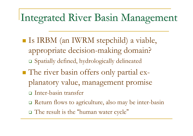#### Integrated River Basin Management

- Is IRBM (an IWRM stepchild) a viable, appropriate decision-making domain?
	- Spatially defined, hydrologically delineated
- The river basin offers only partial explanatory value, management promise
	- Inter-basin transfer
	- Return flows to agriculture, also may be inter-basin
	- $\Box$  The result is the "human water cycle"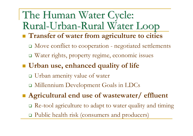#### The Human Water Cycle: Rural-Urban-Rural Water Loop

- **Transfer of water from agriculture to cities** 
	- □ Move conflict to cooperation negotiated settlements
	- Water rights, property regime, economic issues
- **Urban use, enhanced quality of life**
	- Urban amenity value of water
	- Millennium Development Goals in LDCs
- **Agricultural end use of wastewater/ effluent** 
	- □ Re-tool agriculture to adapt to water quality and timing
	- □ Public health risk (consumers and producers)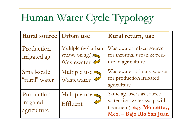# Human Water Cycle Typology

| <b>Rural source   Urban use</b>        |                                                     | Rural return, use                                                                                                   |
|----------------------------------------|-----------------------------------------------------|---------------------------------------------------------------------------------------------------------------------|
| Production<br>irrigated ag.            | Multiple (w/ urban<br>sprawl on ag.).<br>Wastewater | Wastewater mixed source<br>for informal urban & peri-<br>urban agriculture                                          |
| Small-scale<br>"rural" water           | Multiple use.<br>Wastewater                         | Wastewater primary source<br>for production irrigated<br>agriculture                                                |
| Production<br>irrigated<br>agriculture | Multiple use. $\blacksquare$<br>Effluent            | Same ag. users as source<br>water (i.e., water swap with<br>treatment). e.g. Monterrey,<br>Mex. - Bajo Rio San Juan |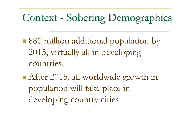## Context - Sobering Demographics

■880 million additional population by 2015, virtually all in developing countries.

After 2015, all worldwide growth in population will take place in developing country cities.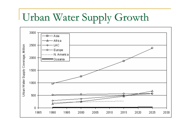# Urban Water Supply Growth

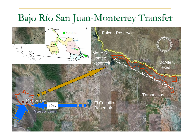#### Bajo Río San Juan-Monterrey Transfer

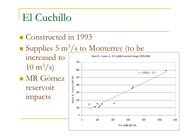## El Cuchillo

Constructed in 1993

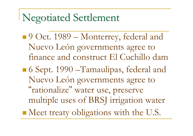#### Negotiated Settlement

- 9 Oct. 1989 Monterrey, federal and Nuevo León governments agree to finance and construct El Cuchillo dam
- 6 Sept. 1990 –Tamaulipas, federal and Nuevo León governments agree to "rationalize" water use, preserve multiple uses of BRSJ irrigation water Meet treaty obligations with the U.S.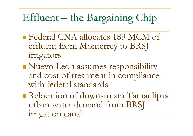# Effluent – the Bargaining Chip

- **Federal CNA allocates 189 MCM of** effluent from Monterrey to BRSJ irrigators
- Nuevo León assumes responsibility and cost of treatment in compliance with federal standards
- Relocation of downstream Tamaulipas urban water demand from BRSJ irrigation canal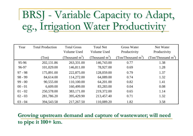# BRSJ - Variable Capacity to Adapt, eg., Irrigation Water Productivity

| Year      | <b>Total Production</b> | <b>Total Gross</b><br>Volume Used | <b>Total Net</b><br>Volume Used | <b>Gross Water</b><br>Productivity | Net Water<br>Productivity      |
|-----------|-------------------------|-----------------------------------|---------------------------------|------------------------------------|--------------------------------|
|           | (Ton)                   | Thousand $m^3$ )                  | (Thousand $m^3$ )               | (Ton/Thousand $m^3$ )              | (Ton/Thousand m <sup>3</sup> ) |
| 95-96     | 202,131.86              | 263,331.00                        | 146,743.00                      | 0.77                               | 1.38                           |
| 96-97     | 101,029.00              | 146,811.00                        | 78,927.00                       | 0.69                               | 1.28                           |
| $97 - 98$ | 175,891.00              | 222,875.00                        | 128,059.00                      | 0.79                               | 1.37                           |
| $98 - 99$ | 84,614.00               | 114,272.00                        | 64,089.00                       | 0.74                               | 1.32                           |
| $99 - 00$ | 90,555.00               | 110,100.00                        | 64,201.00                       | 0.82                               | 1.41                           |
| $00 - 01$ | 6,609.00                | 160,499.00                        | 83,283.00                       | 0.04                               | 0.08                           |
| $01 - 02$ | 250,578.00              | 383,171.00                        | 219,372.00                      | 0.65                               | 1.14                           |
| $02 - 03$ | 281,786.20              | 395,429.90                        | 213,457.40                      | 0.71                               | 1.32                           |
| $03 - 04$ | 394,543.58              | 217,267.50                        | 110,089.20                      | 1.82                               | 3.58                           |

**Growing upstream demand and capture of wastewater; will need to pipe it 100+ km.**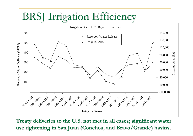#### **BRSJ** Irrigation Efficiency



**Treaty deliveries to the U.S. not met in all cases; significant water use tightening in San Juan (Conchos, and Bravo/Grande) basins.**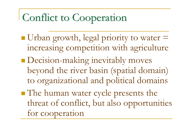#### Conflict to Cooperation

Urban growth, legal priority to water  $=$ increasing competition with agriculture **Decision-making inevitably moves** beyond the river basin (spatial domain) to organizational and political domains ■ The human water cycle presents the threat of conflict, but also opportunities for cooperation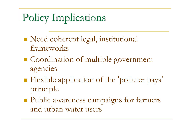# Policy Implications

- Need coherent legal, institutional frameworks
- Coordination of multiple government agencies
- **Flexible application of the 'polluter pays'** principle
- **Public awareness campaigns for farmers** and urban water users